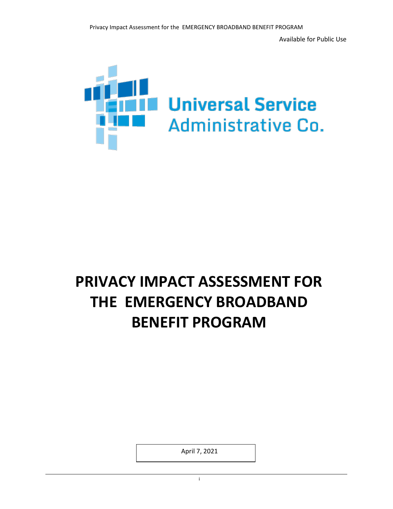Available for Public Use



# **PRIVACY IMPACT ASSESSMENT FOR THE EMERGENCY BROADBAND BENEFIT PROGRAM**

April 7, 2021

i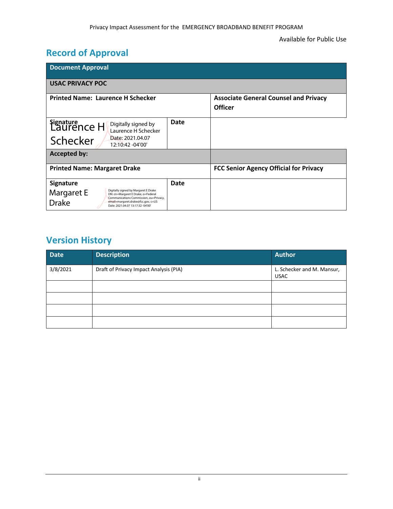## **Record of Approval**

| <b>Document Approval</b>                                                                                                                                                                                                                          |      |                                                                |  |  |  |
|---------------------------------------------------------------------------------------------------------------------------------------------------------------------------------------------------------------------------------------------------|------|----------------------------------------------------------------|--|--|--|
| <b>USAC PRIVACY POC</b>                                                                                                                                                                                                                           |      |                                                                |  |  |  |
| <b>Printed Name: Laurence H Schecker</b>                                                                                                                                                                                                          |      | <b>Associate General Counsel and Privacy</b><br><b>Officer</b> |  |  |  |
| Signature<br>Laurence H<br>Digitally signed by<br>Laurence H Schecker<br>Date: 2021.04.07<br>Schecker<br>12:10:42 -04'00'                                                                                                                         | Date |                                                                |  |  |  |
| <b>Accepted by:</b>                                                                                                                                                                                                                               |      |                                                                |  |  |  |
| <b>Printed Name: Margaret Drake</b>                                                                                                                                                                                                               |      | <b>FCC Senior Agency Official for Privacy</b>                  |  |  |  |
| <b>Signature</b><br>Digitally signed by Margaret E Drake<br>Margaret E<br>DN: cn=Margaret E Drake, o=Federal<br>Communications Commission, ou=Privacy,<br><b>Drake</b><br>email=margaret.drake@fcc.gov, c=US<br>Date: 2021.04.07 13:17:32 -04'00' | Date |                                                                |  |  |  |

## **Version History**

| <b>Date</b> | <b>Description</b>                     | <b>Author</b>                             |
|-------------|----------------------------------------|-------------------------------------------|
| 3/8/2021    | Draft of Privacy Impact Analysis (PIA) | L. Schecker and M. Mansur,<br><b>USAC</b> |
|             |                                        |                                           |
|             |                                        |                                           |
|             |                                        |                                           |
|             |                                        |                                           |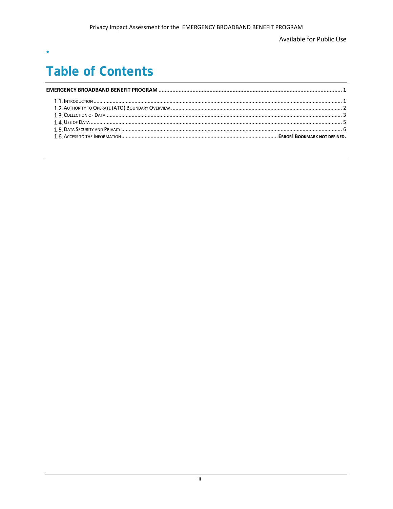Available for Public Use

## **Table of Contents**

 $\bullet$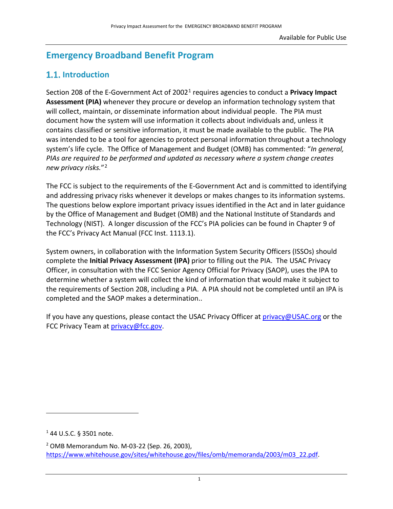## <span id="page-3-0"></span>**Emergency Broadband Benefit Program**

### <span id="page-3-1"></span>**1.1.** Introduction

Section 208 of the E-Government Act of 2002[1](#page-3-2) requires agencies to conduct a **Privacy Impact Assessment (PIA)** whenever they procure or develop an information technology system that will collect, maintain, or disseminate information about individual people. The PIA must document how the system will use information it collects about individuals and, unless it contains classified or sensitive information, it must be made available to the public. The PIA was intended to be a tool for agencies to protect personal information throughout a technology system's life cycle. The Office of Management and Budget (OMB) has commented: "*In general, PIAs are required to be performed and updated as necessary where a system change creates new privacy risks.*"[2](#page-3-3)

The FCC is subject to the requirements of the E-Government Act and is committed to identifying and addressing privacy risks whenever it develops or makes changes to its information systems. The questions below explore important privacy issues identified in the Act and in later guidance by the Office of Management and Budget (OMB) and the National Institute of Standards and Technology (NIST). A longer discussion of the FCC's PIA policies can be found in Chapter 9 of the FCC's Privacy Act Manual (FCC Inst. 1113.1).

System owners, in collaboration with the Information System Security Officers (ISSOs) should complete the **Initial Privacy Assessment (IPA)** prior to filling out the PIA. The USAC Privacy Officer, in consultation with the FCC Senior Agency Official for Privacy (SAOP), uses the IPA to determine whether a system will collect the kind of information that would make it subject to the requirements of Section 208, including a PIA. A PIA should not be completed until an IPA is completed and the SAOP makes a determination..

If you have any questions, please contact the USAC Privacy Officer at [privacy@USAC.org](mailto:privacy@USAC.org) or the FCC Privacy Team at [privacy@fcc.gov.](mailto:privacy@fcc.gov)

<span id="page-3-2"></span><sup>1</sup> 44 U.S.C. § 3501 note.

<span id="page-3-3"></span><sup>2</sup> OMB Memorandum No. M-03-22 (Sep. 26, 2003), [https://www.whitehouse.gov/sites/whitehouse.gov/files/omb/memoranda/2003/m03\\_22.pdf.](https://www.whitehouse.gov/sites/whitehouse.gov/files/omb/memoranda/2003/m03_22.pdf)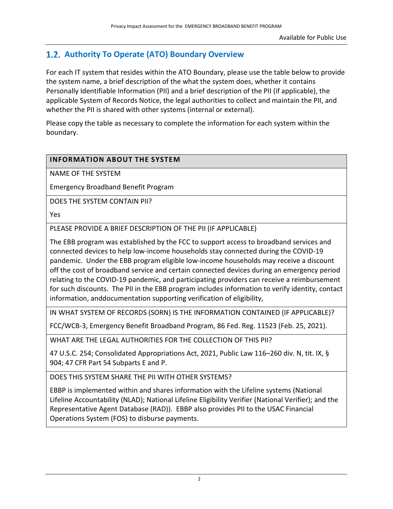### <span id="page-4-0"></span> **Authority To Operate (ATO) Boundary Overview**

For each IT system that resides within the ATO Boundary, please use the table below to provide the system name, a brief description of the what the system does, whether it contains Personally Identifiable Information (PII) and a brief description of the PII (if applicable), the applicable System of Records Notice, the legal authorities to collect and maintain the PII, and whether the PII is shared with other systems (internal or external).

Please copy the table as necessary to complete the information for each system within the boundary.

#### **INFORMATION ABOUT THE SYSTEM**

NAME OF THE SYSTEM

Emergency Broadband Benefit Program

DOES THE SYSTEM CONTAIN PII?

Yes

PLEASE PROVIDE A BRIEF DESCRIPTION OF THE PII (IF APPLICABLE)

The EBB program was established by the FCC to support access to broadband services and connected devices to help low-income households stay connected during the COVID-19 pandemic. Under the EBB program eligible low-income households may receive a discount off the cost of broadband service and certain connected devices during an emergency period relating to the COVID-19 pandemic, and participating providers can receive a reimbursement for such discounts. The PII in the EBB program includes information to verify identity, contact information, anddocumentation supporting verification of eligibility,

IN WHAT SYSTEM OF RECORDS (SORN) IS THE INFORMATION CONTAINED (IF APPLICABLE)?

FCC/WCB-3, Emergency Benefit Broadband Program, 86 Fed. Reg. 11523 (Feb. 25, 2021).

WHAT ARE THE LEGAL AUTHORITIES FOR THE COLLECTION OF THIS PII?

47 U.S.C. 254; Consolidated Appropriations Act, 2021, Public Law 116–260 div. N, tit. IX, § 904; 47 CFR Part 54 Subparts E and P.

DOES THIS SYSTEM SHARE THE PII WITH OTHER SYSTEMS?

EBBP is implemented within and shares information with the Lifeline systems (National Lifeline Accountability (NLAD); National Lifeline Eligibility Verifier (National Verifier); and the Representative Agent Database (RAD)). EBBP also provides PII to the USAC Financial Operations System (FOS) to disburse payments.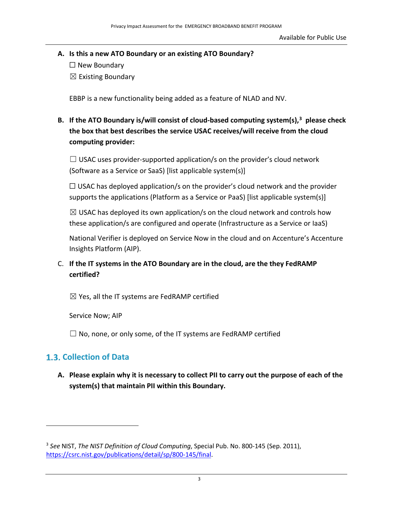- **A. Is this a new ATO Boundary or an existing ATO Boundary?**
	- $\Box$  New Boundary
	- $\boxtimes$  Existing Boundary

EBBP is a new functionality being added as a feature of NLAD and NV.

**B. If the ATO Boundary is/will consist of cloud-based computing system(s), [3](#page-5-1) please check the box that best describes the service USAC receives/will receive from the cloud computing provider:**

 $\Box$  USAC uses provider-supported application/s on the provider's cloud network (Software as a Service or SaaS) [list applicable system(s)]

 $\Box$  USAC has deployed application/s on the provider's cloud network and the provider supports the applications (Platform as a Service or PaaS) [list applicable system(s)]

 $\boxtimes$  USAC has deployed its own application/s on the cloud network and controls how these application/s are configured and operate (Infrastructure as a Service or IaaS)

National Verifier is deployed on Service Now in the cloud and on Accenture's Accenture Insights Platform (AIP).

C. **If the IT systems in the ATO Boundary are in the cloud, are the they FedRAMP certified?**

 $\boxtimes$  Yes, all the IT systems are FedRAMP certified

Service Now; AIP

 $\Box$  No, none, or only some, of the IT systems are FedRAMP certified

#### <span id="page-5-0"></span>**Collection of Data**

**A. Please explain why it is necessary to collect PII to carry out the purpose of each of the system(s) that maintain PII within this Boundary.**

<span id="page-5-1"></span><sup>3</sup> *See* NIST, *The NIST Definition of Cloud Computing*, Special Pub. No. 800-145 (Sep. 2011), [https://csrc.nist.gov/publications/detail/sp/800-145/final.](https://csrc.nist.gov/publications/detail/sp/800-145/final)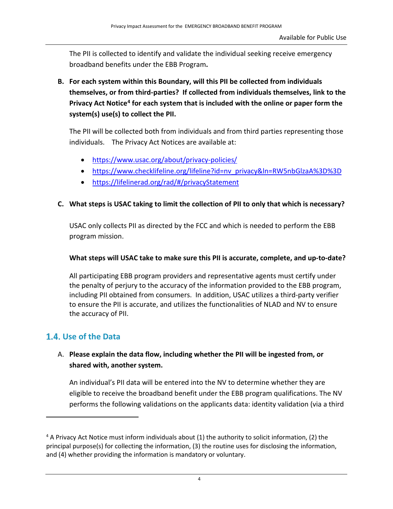The PII is collected to identify and validate the individual seeking receive emergency broadband benefits under the EBB Program**.** 

**B. For each system within this Boundary, will this PII be collected from individuals themselves, or from third-parties? If collected from individuals themselves, link to the Privacy Act Notice[4](#page-6-0) for each system that is included with the online or paper form the system(s) use(s) to collect the PII.**

The PII will be collected both from individuals and from third parties representing those individuals. The Privacy Act Notices are available at:

- <https://www.usac.org/about/privacy-policies/>
- [https://www.checklifeline.org/lifeline?id=nv\\_privacy&ln=RW5nbGlzaA%3D%3D](https://www.checklifeline.org/lifeline?id=nv_privacy&ln=RW5nbGlzaA%3D%3D)
- <https://lifelinerad.org/rad/#/privacyStatement>

#### **C. What steps is USAC taking to limit the collection of PII to only that which is necessary?**

USAC only collects PII as directed by the FCC and which is needed to perform the EBB program mission.

#### **What steps will USAC take to make sure this PII is accurate, complete, and up-to-date?**

All participating EBB program providers and representative agents must certify under the penalty of perjury to the accuracy of the information provided to the EBB program, including PII obtained from consumers. In addition, USAC utilizes a third-party verifier to ensure the PII is accurate, and utilizes the functionalities of NLAD and NV to ensure the accuracy of PII.

#### **Use of the Data**

#### A. **Please explain the data flow, including whether the PII will be ingested from, or shared with, another system.**

An individual's PII data will be entered into the NV to determine whether they are eligible to receive the broadband benefit under the EBB program qualifications. The NV performs the following validations on the applicants data: identity validation (via a third

<span id="page-6-0"></span><sup>4</sup> A Privacy Act Notice must inform individuals about (1) the authority to solicit information, (2) the principal purpose(s) for collecting the information, (3) the routine uses for disclosing the information, and (4) whether providing the information is mandatory or voluntary.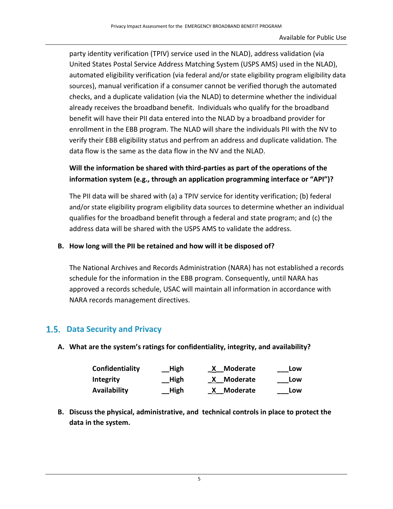party identity verification (TPIV) service used in the NLAD), address validation (via United States Postal Service Address Matching System (USPS AMS) used in the NLAD), automated eligibility verification (via federal and/or state eligibility program eligibility data sources), manual verification if a consumer cannot be verified thorugh the automated checks, and a duplicate validation (via the NLAD) to determine whether the individual already receives the broadband benefit. Individuals who qualify for the broadband benefit will have their PII data entered into the NLAD by a broadband provider for enrollment in the EBB program. The NLAD will share the individuals PII with the NV to verify their EBB eligibility status and perfrom an address and duplicate validation. The data flow is the same as the data flow in the NV and the NLAD.

#### **Will the information be shared with third-parties as part of the operations of the information system (e.g., through an application programming interface or "API")?**

The PII data will be shared with (a) a TPIV service for identity verification; (b) federal and/or state eligibility program eligibility data sources to determine whether an individual qualifies for the broadband benefit through a federal and state program; and (c) the address data will be shared with the USPS AMS to validate the address.

#### **B. How long will the PII be retained and how will it be disposed of?**

The National Archives and Records Administration (NARA) has not established a records schedule for the information in the EBB program. Consequently, until NARA has approved a records schedule, USAC will maintain all information in accordance with NARA records management directives.

#### <span id="page-7-0"></span> **Data Security and Privacy**

**A. What are the system's ratings for confidentiality, integrity, and availability?**

| Confidentiality     | High | Moderate          | Low |
|---------------------|------|-------------------|-----|
| <b>Integrity</b>    | High | X Moderate        | Low |
| <b>Availability</b> | High | <u>X</u> Moderate | Low |

**B. Discuss the physical, administrative, and technical controls in place to protect the data in the system.**